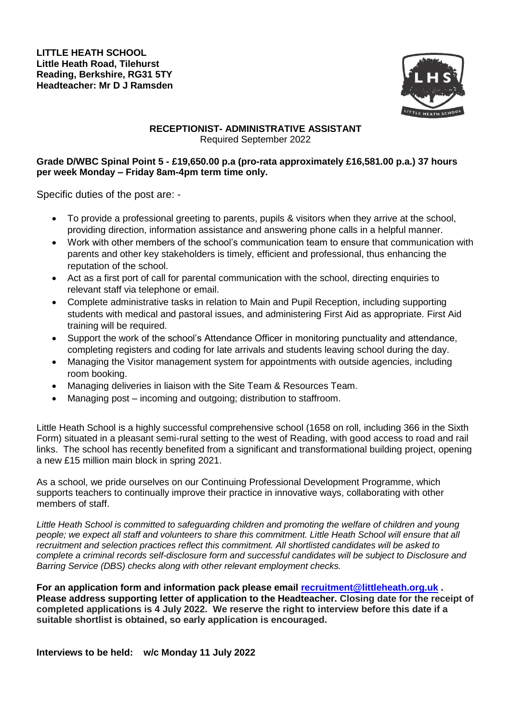

## **RECEPTIONIST- ADMINISTRATIVE ASSISTANT**  Required September 2022

## **Grade D/WBC Spinal Point 5 - £19,650.00 p.a (pro-rata approximately £16,581.00 p.a.) 37 hours per week Monday – Friday 8am-4pm term time only.**

Specific duties of the post are: -

- To provide a professional greeting to parents, pupils & visitors when they arrive at the school, providing direction, information assistance and answering phone calls in a helpful manner.
- Work with other members of the school's communication team to ensure that communication with parents and other key stakeholders is timely, efficient and professional, thus enhancing the reputation of the school.
- Act as a first port of call for parental communication with the school, directing enquiries to relevant staff via telephone or email.
- Complete administrative tasks in relation to Main and Pupil Reception, including supporting students with medical and pastoral issues, and administering First Aid as appropriate. First Aid training will be required.
- Support the work of the school's Attendance Officer in monitoring punctuality and attendance, completing registers and coding for late arrivals and students leaving school during the day.
- Managing the Visitor management system for appointments with outside agencies, including room booking.
- Managing deliveries in liaison with the Site Team & Resources Team.
- Managing post incoming and outgoing; distribution to staffroom.

Little Heath School is a highly successful comprehensive school (1658 on roll, including 366 in the Sixth Form) situated in a pleasant semi-rural setting to the west of Reading, with good access to road and rail links. The school has recently benefited from a significant and transformational building project, opening a new £15 million main block in spring 2021.

As a school, we pride ourselves on our Continuing Professional Development Programme, which supports teachers to continually improve their practice in innovative ways, collaborating with other members of staff.

*Little Heath School is committed to safeguarding children and promoting the welfare of children and young people; we expect all staff and volunteers to share this commitment. Little Heath School will ensure that all recruitment and selection practices reflect this commitment. All shortlisted candidates will be asked to complete a criminal records self-disclosure form and successful candidates will be subject to Disclosure and Barring Service (DBS) checks along with other relevant employment checks.* 

**For an application form and information pack please email [recruitment@littleheath.org.uk](mailto:recruitment@littleheath.org.uk) . Please address supporting letter of application to the Headteacher. Closing date for the receipt of completed applications is 4 July 2022. We reserve the right to interview before this date if a suitable shortlist is obtained, so early application is encouraged.**

**Interviews to be held: w/c Monday 11 July 2022**